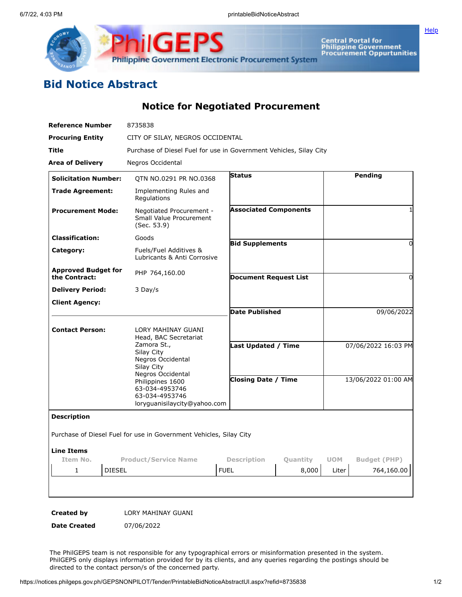



Central Portal for<br>Philippine Government<br>Procurement Oppurtunities

## **Bid Notice Abstract**

**Notice for Negotiated Procurement**

| <b>Reference Number</b>                     | 8735838                                                                                                                                      |                              |                        |                     |                     |
|---------------------------------------------|----------------------------------------------------------------------------------------------------------------------------------------------|------------------------------|------------------------|---------------------|---------------------|
| <b>Procuring Entity</b>                     | CITY OF SILAY, NEGROS OCCIDENTAL                                                                                                             |                              |                        |                     |                     |
| Title                                       | Purchase of Diesel Fuel for use in Government Vehicles, Silay City                                                                           |                              |                        |                     |                     |
| <b>Area of Delivery</b>                     | Negros Occidental                                                                                                                            |                              |                        |                     |                     |
| <b>Solicitation Number:</b>                 | QTN NO.0291 PR NO.0368                                                                                                                       | <b>Status</b>                |                        |                     | Pending             |
| <b>Trade Agreement:</b>                     | Implementing Rules and<br>Regulations                                                                                                        |                              |                        |                     |                     |
| <b>Procurement Mode:</b>                    | Negotiated Procurement -<br>Small Value Procurement<br>(Sec. 53.9)                                                                           | <b>Associated Components</b> |                        |                     | 1                   |
| <b>Classification:</b>                      | Goods                                                                                                                                        |                              | <b>Bid Supplements</b> |                     | 0                   |
| Category:                                   | Fuels/Fuel Additives &<br>Lubricants & Anti Corrosive                                                                                        |                              |                        |                     |                     |
| <b>Approved Budget for</b><br>the Contract: | PHP 764,160.00                                                                                                                               | <b>Document Request List</b> |                        |                     | 0                   |
| <b>Delivery Period:</b>                     | 3 Day/s                                                                                                                                      |                              |                        |                     |                     |
| <b>Client Agency:</b>                       |                                                                                                                                              |                              |                        |                     |                     |
|                                             |                                                                                                                                              | <b>Date Published</b>        |                        |                     | 09/06/2022          |
| <b>Contact Person:</b>                      | LORY MAHINAY GUANI<br>Head, BAC Secretariat<br>Zamora St.,<br>Silay City                                                                     | <b>Last Updated / Time</b>   |                        |                     | 07/06/2022 16:03 PM |
|                                             | Negros Occidental<br>Silay City<br>Negros Occidental<br>Philippines 1600<br>63-034-4953746<br>63-034-4953746<br>loryguanisilaycity@yahoo.com | <b>Closing Date / Time</b>   |                        | 13/06/2022 01:00 AM |                     |
| <b>Description</b>                          |                                                                                                                                              |                              |                        |                     |                     |
|                                             | Purchase of Diesel Fuel for use in Government Vehicles, Silay City                                                                           |                              |                        |                     |                     |
| <b>Line Items</b>                           |                                                                                                                                              |                              |                        |                     |                     |
| Item No.                                    | <b>Product/Service Name</b>                                                                                                                  | Description                  | Quantity               | <b>UOM</b>          | <b>Budget (PHP)</b> |
| <b>DIESEL</b><br>$\mathbf{1}$               |                                                                                                                                              | <b>FUEL</b>                  | 8,000                  | Liter               | 764,160.00          |
|                                             |                                                                                                                                              |                              |                        |                     |                     |
|                                             |                                                                                                                                              |                              |                        |                     |                     |
| Created by                                  | LORY MAHINAY GUANI                                                                                                                           |                              |                        |                     |                     |

**Date Created** 07/06/2022

The PhilGEPS team is not responsible for any typographical errors or misinformation presented in the system. PhilGEPS only displays information provided for by its clients, and any queries regarding the postings should be directed to the contact person/s of the concerned party.